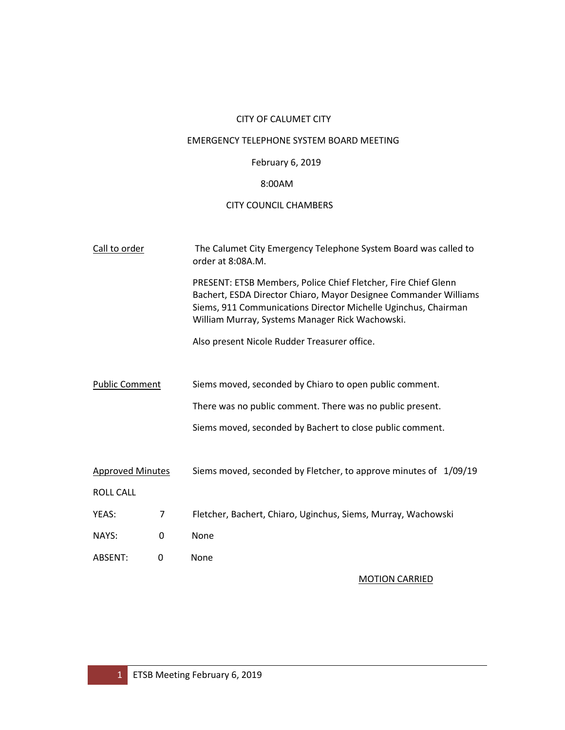# CITY OF CALUMET CITY

# EMERGENCY TELEPHONE SYSTEM BOARD MEETING

# February 6, 2019

# 8:00AM

# CITY COUNCIL CHAMBERS

| Call to order           |                | The Calumet City Emergency Telephone System Board was called to<br>order at 8:08A.M.                                                                                                                                                                    |  |  |  |  |
|-------------------------|----------------|---------------------------------------------------------------------------------------------------------------------------------------------------------------------------------------------------------------------------------------------------------|--|--|--|--|
|                         |                | PRESENT: ETSB Members, Police Chief Fletcher, Fire Chief Glenn<br>Bachert, ESDA Director Chiaro, Mayor Designee Commander Williams<br>Siems, 911 Communications Director Michelle Uginchus, Chairman<br>William Murray, Systems Manager Rick Wachowski. |  |  |  |  |
|                         |                | Also present Nicole Rudder Treasurer office.                                                                                                                                                                                                            |  |  |  |  |
|                         |                |                                                                                                                                                                                                                                                         |  |  |  |  |
| <b>Public Comment</b>   |                | Siems moved, seconded by Chiaro to open public comment.                                                                                                                                                                                                 |  |  |  |  |
|                         |                | There was no public comment. There was no public present.                                                                                                                                                                                               |  |  |  |  |
|                         |                | Siems moved, seconded by Bachert to close public comment.                                                                                                                                                                                               |  |  |  |  |
| <b>Approved Minutes</b> |                | Siems moved, seconded by Fletcher, to approve minutes of 1/09/19                                                                                                                                                                                        |  |  |  |  |
| <b>ROLL CALL</b>        |                |                                                                                                                                                                                                                                                         |  |  |  |  |
| YEAS:                   | $\overline{7}$ | Fletcher, Bachert, Chiaro, Uginchus, Siems, Murray, Wachowski                                                                                                                                                                                           |  |  |  |  |
| NAYS:                   | 0              | None                                                                                                                                                                                                                                                    |  |  |  |  |
| ABSENT:                 | 0              | None                                                                                                                                                                                                                                                    |  |  |  |  |

# MOTION CARRIED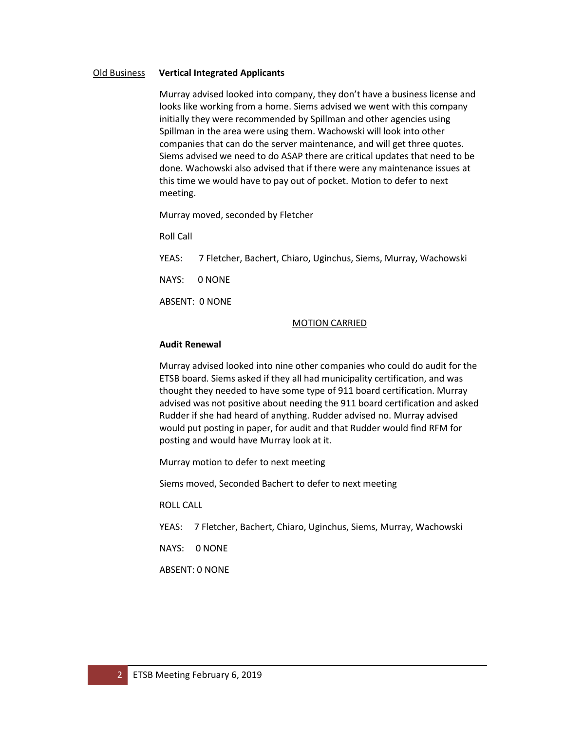#### Old Business **Vertical Integrated Applicants**

Murray advised looked into company, they don't have a business license and looks like working from a home. Siems advised we went with this company initially they were recommended by Spillman and other agencies using Spillman in the area were using them. Wachowski will look into other companies that can do the server maintenance, and will get three quotes. Siems advised we need to do ASAP there are critical updates that need to be done. Wachowski also advised that if there were any maintenance issues at this time we would have to pay out of pocket. Motion to defer to next meeting.

Murray moved, seconded by Fletcher

Roll Call

YEAS: 7 Fletcher, Bachert, Chiaro, Uginchus, Siems, Murray, Wachowski

NAYS: 0 NONE

ABSENT: 0 NONE

#### MOTION CARRIED

#### **Audit Renewal**

Murray advised looked into nine other companies who could do audit for the ETSB board. Siems asked if they all had municipality certification, and was thought they needed to have some type of 911 board certification. Murray advised was not positive about needing the 911 board certification and asked Rudder if she had heard of anything. Rudder advised no. Murray advised would put posting in paper, for audit and that Rudder would find RFM for posting and would have Murray look at it.

Murray motion to defer to next meeting

Siems moved, Seconded Bachert to defer to next meeting

ROLL CALL

YEAS: 7 Fletcher, Bachert, Chiaro, Uginchus, Siems, Murray, Wachowski

NAYS: 0 NONE

ABSENT: 0 NONE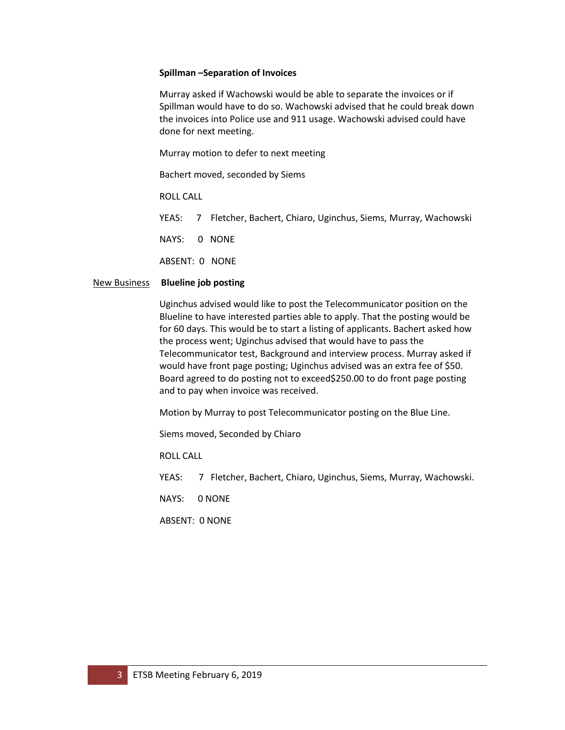#### **Spillman –Separation of Invoices**

Murray asked if Wachowski would be able to separate the invoices or if Spillman would have to do so. Wachowski advised that he could break down the invoices into Police use and 911 usage. Wachowski advised could have done for next meeting.

Murray motion to defer to next meeting

Bachert moved, seconded by Siems

ROLL CALL

YEAS: 7 Fletcher, Bachert, Chiaro, Uginchus, Siems, Murray, Wachowski

NAYS: 0 NONE

ABSENT: 0 NONE

#### New Business **Blueline job posting**

Uginchus advised would like to post the Telecommunicator position on the Blueline to have interested parties able to apply. That the posting would be for 60 days. This would be to start a listing of applicants. Bachert asked how the process went; Uginchus advised that would have to pass the Telecommunicator test, Background and interview process. Murray asked if would have front page posting; Uginchus advised was an extra fee of \$50. Board agreed to do posting not to exceed\$250.00 to do front page posting and to pay when invoice was received.

Motion by Murray to post Telecommunicator posting on the Blue Line.

Siems moved, Seconded by Chiaro

ROLL CALL

YEAS: 7 Fletcher, Bachert, Chiaro, Uginchus, Siems, Murray, Wachowski.

NAYS: 0 NONE

ABSENT: 0 NONE